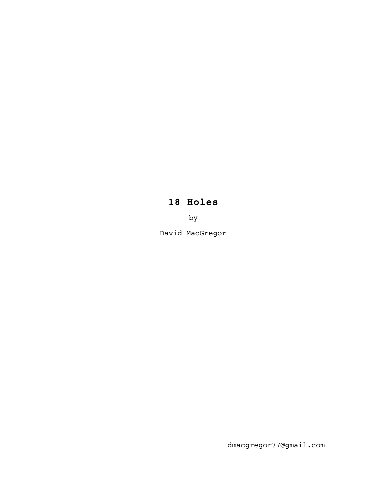# **18 Holes**

by

David MacGregor

dmacgregor77@gmail.com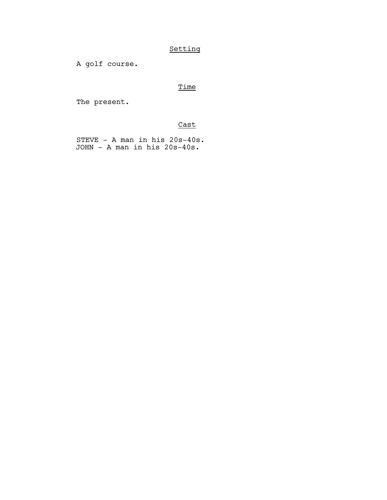# Setting

A golf course.

# **Time**

The present.

# Cast

 STEVE - A man in his 20s-40s. JOHN - A man in his 20s-40s.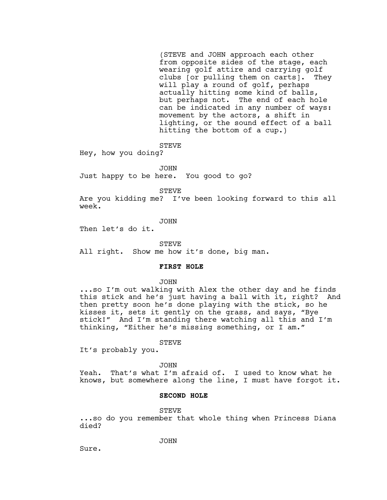(STEVE and JOHN approach each other from opposite sides of the stage, each wearing golf attire and carrying golf clubs [or pulling them on carts]. They will play a round of golf, perhaps actually hitting some kind of balls, but perhaps not. The end of each hole can be indicated in any number of ways: movement by the actors, a shift in lighting, or the sound effect of a ball hitting the bottom of a cup.)

STEVE

Hey, how you doing?

JOHN

Just happy to be here. You good to go?

STEVE

Are you kidding me? I've been looking forward to this all week.

JOHN

Then let's do it.

STEVE

All right. Show me how it's done, big man.

### **FIRST HOLE**

JOHN

...so I'm out walking with Alex the other day and he finds this stick and he's just having a ball with it, right? And then pretty soon he's done playing with the stick, so he kisses it, sets it gently on the grass, and says, "Bye stick!" And I'm standing there watching all this and I'm thinking, "Either he's missing something, or I am."

STEVE

It's probably you.

JOHN

Yeah. That's what I'm afraid of. I used to know what he knows, but somewhere along the line, I must have forgot it.

## **SECOND HOLE**

STEVE

...so do you remember that whole thing when Princess Diana died?

JOHN

Sure.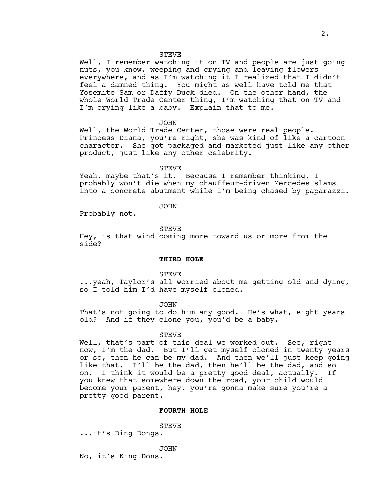Well, I remember watching it on TV and people are just going nuts, you know, weeping and crying and leaving flowers everywhere, and as I'm watching it I realized that I didn't feel a damned thing. You might as well have told me that Yosemite Sam or Daffy Duck died. On the other hand, the whole World Trade Center thing, I'm watching that on TV and I'm crying like a baby. Explain that to me.

#### JOHN

Well, the World Trade Center, those were real people. Princess Diana, you're right, she was kind of like a cartoon character. She got packaged and marketed just like any other product, just like any other celebrity.

#### STEVE

Yeah, maybe that's it. Because I remember thinking, I probably won't die when my chauffeur-driven Mercedes slams into a concrete abutment while I'm being chased by paparazzi.

#### JOHN

Probably not.

**STEVE** 

Hey, is that wind coming more toward us or more from the side?

#### **THIRD HOLE**

STEVE

...yeah, Taylor's all worried about me getting old and dying, so I told him I'd have myself cloned.

JOHN

That's not going to do him any good. He's what, eight years old? And if they clone you, you'd be a baby.

#### STEVE

Well, that's part of this deal we worked out. See, right now, I'm the dad. But I'll get myself cloned in twenty years or so, then he can be my dad. And then we'll just keep going like that. I'll be the dad, then he'll be the dad, and so on. I think it would be a pretty good deal, actually. If you knew that somewhere down the road, your child would become your parent, hey, you're gonna make sure you're a pretty good parent.

## **FOURTH HOLE**

#### STEVE

...it's Ding Dongs.

JOHN

No, it's King Dons.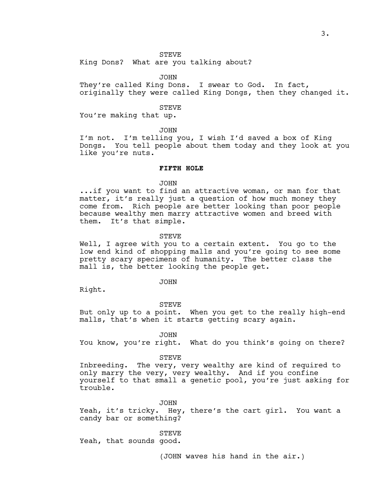King Dons? What are you talking about?

JOHN

They're called King Dons. I swear to God. In fact, originally they were called King Dongs, then they changed it.

STEVE

You're making that up.

JOHN

I'm not. I'm telling you, I wish I'd saved a box of King Dongs. You tell people about them today and they look at you like you're nuts.

### **FIFTH HOLE**

JOHN

...if you want to find an attractive woman, or man for that matter, it's really just a question of how much money they come from. Rich people are better looking than poor people because wealthy men marry attractive women and breed with them. It's that simple.

#### STEVE

Well, I agree with you to a certain extent. You go to the low end kind of shopping malls and you're going to see some pretty scary specimens of humanity. The better class the mall is, the better looking the people get.

JOHN

Right.

STEVE

But only up to a point. When you get to the really high-end malls, that's when it starts getting scary again.

JOHN

You know, you're right. What do you think's going on there?

STEVE

Inbreeding. The very, very wealthy are kind of required to only marry the very, very wealthy. And if you confine yourself to that small a genetic pool, you're just asking for trouble.

JOHN Yeah, it's tricky. Hey, there's the cart girl. You want a candy bar or something?

#### STEVE

Yeah, that sounds good.

(JOHN waves his hand in the air.)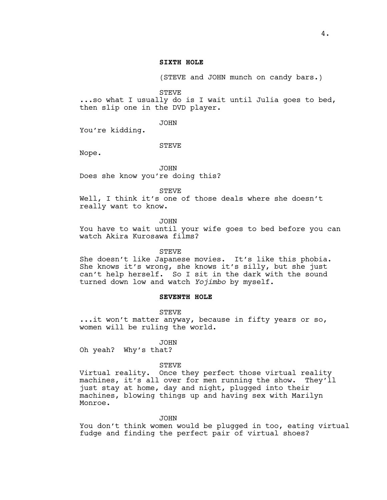#### **SIXTH HOLE**

(STEVE and JOHN munch on candy bars.)

STEVE

...so what I usually do is I wait until Julia goes to bed, then slip one in the DVD player.

JOHN

You're kidding.

### STEVE

Nope.

JOHN Does she know you're doing this?

STEVE

Well, I think it's one of those deals where she doesn't really want to know.

JOHN

You have to wait until your wife goes to bed before you can watch Akira Kurosawa films?

**STEVE** 

She doesn't like Japanese movies. It's like this phobia. She knows it's wrong, she knows it's silly, but she just can't help herself. So I sit in the dark with the sound turned down low and watch *Yojimbo* by myself.

### **SEVENTH HOLE**

**STEVE** 

...it won't matter anyway, because in fifty years or so, women will be ruling the world.

JOHN

Oh yeah? Why's that?

#### STEVE

Virtual reality. Once they perfect those virtual reality machines, it's all over for men running the show. They'll just stay at home, day and night, plugged into their machines, blowing things up and having sex with Marilyn Monroe.

JOHN

You don't think women would be plugged in too, eating virtual fudge and finding the perfect pair of virtual shoes?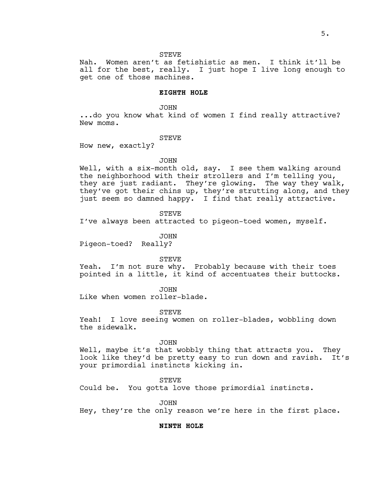Nah. Women aren't as fetishistic as men. I think it'll be all for the best, really. I just hope I live long enough to get one of those machines.

## **EIGHTH HOLE**

JOHN

...do you know what kind of women I find really attractive? New moms.

STEVE

How new, exactly?

JOHN

Well, with a six-month old, say. I see them walking around the neighborhood with their strollers and I'm telling you, they are just radiant. They're glowing. The way they walk, they've got their chins up, they're strutting along, and they just seem so damned happy. I find that really attractive.

**STEVE** 

I've always been attracted to pigeon-toed women, myself.

JOHN

Pigeon-toed? Really?

**STEVE** 

Yeah. I'm not sure why. Probably because with their toes pointed in a little, it kind of accentuates their buttocks.

JOHN

Like when women roller-blade.

**STEVE** 

Yeah! I love seeing women on roller-blades, wobbling down the sidewalk.

JOHN

Well, maybe it's that wobbly thing that attracts you. They look like they'd be pretty easy to run down and ravish. It's your primordial instincts kicking in.

**STEVE** 

Could be. You gotta love those primordial instincts.

JOHN

Hey, they're the only reason we're here in the first place.

**NINTH HOLE**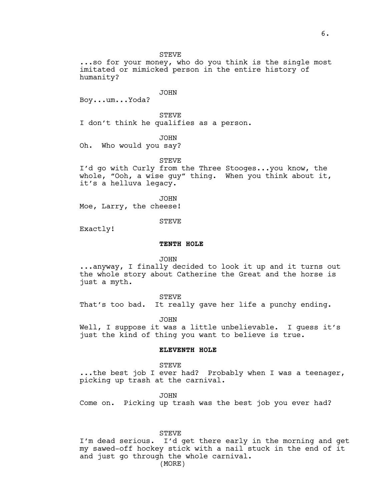...so for your money, who do you think is the single most imitated or mimicked person in the entire history of humanity?

#### JOHN

Boy...um...Yoda?

STEVE I don't think he qualifies as a person.

JOHN

Oh. Who would you say?

STEVE

I'd go with Curly from the Three Stooges...you know, the whole, "Ooh, a wise guy" thing. When you think about it, it's a helluva legacy.

JOHN

Moe, Larry, the cheese!

#### STEVE

Exactly!

#### **TENTH HOLE**

JOHN

...anyway, I finally decided to look it up and it turns out the whole story about Catherine the Great and the horse is just a myth.

**STEVE** 

That's too bad. It really gave her life a punchy ending.

JOHN

Well, I suppose it was a little unbelievable. I guess it's just the kind of thing you want to believe is true.

## **ELEVENTH HOLE**

STEVE

...the best job I ever had? Probably when I was a teenager, picking up trash at the carnival.

JOHN

Come on. Picking up trash was the best job you ever had?

STEVE

I'm dead serious. I'd get there early in the morning and get my sawed-off hockey stick with a nail stuck in the end of it and just go through the whole carnival. (MORE)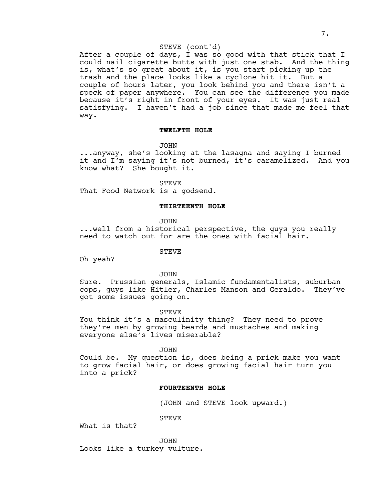## STEVE (cont'd)

After a couple of days, I was so good with that stick that I could nail cigarette butts with just one stab. And the thing is, what's so great about it, is you start picking up the trash and the place looks like a cyclone hit it. But a couple of hours later, you look behind you and there isn't a speck of paper anywhere. You can see the difference you made because it's right in front of your eyes. It was just real satisfying. I haven't had a job since that made me feel that way.

### **TWELFTH HOLE**

JOHN

...anyway, she's looking at the lasagna and saying I burned it and I'm saying it's not burned, it's caramelized. And you know what? She bought it.

STEVE

That Food Network is a godsend.

## **THIRTEENTH HOLE**

JOHN

...well from a historical perspective, the guys you really need to watch out for are the ones with facial hair.

**STEVE** 

Oh yeah?

JOHN

Sure. Prussian generals, Islamic fundamentalists, suburban cops, guys like Hitler, Charles Manson and Geraldo. They've got some issues going on.

**STEVE** 

You think it's a masculinity thing? They need to prove they're men by growing beards and mustaches and making everyone else's lives miserable?

JOHN

Could be. My question is, does being a prick make you want to grow facial hair, or does growing facial hair turn you into a prick?

## **FOURTEENTH HOLE**

(JOHN and STEVE look upward.)

STEVE

What is that?

JOHN

Looks like a turkey vulture.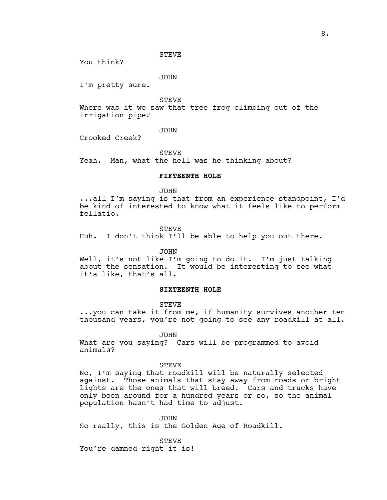You think?

JOHN

I'm pretty sure.

STEVE

Where was it we saw that tree frog climbing out of the irrigation pipe?

JOHN

Crooked Creek?

STEVE

Yeah. Man, what the hell was he thinking about?

## **FIFTEENTH HOLE**

JOHN

...all I'm saying is that from an experience standpoint, I'd be kind of interested to know what it feels like to perform fellatio.

**STEVE** 

Huh. I don't think I'll be able to help you out there.

JOHN

Well, it's not like I'm going to do it. I'm just talking about the sensation. It would be interesting to see what it's like, that's all.

#### **SIXTEENTH HOLE**

STEVE

...you can take it from me, if humanity survives another ten thousand years, you're not going to see any roadkill at all.

JOHN

What are you saying? Cars will be programmed to avoid animals?

STEVE

No, I'm saying that roadkill will be naturally selected against. Those animals that stay away from roads or bright lights are the ones that will breed. Cars and trucks have only been around for a hundred years or so, so the animal population hasn't had time to adjust.

JOHN So really, this is the Golden Age of Roadkill.

STEVE

You're damned right it is!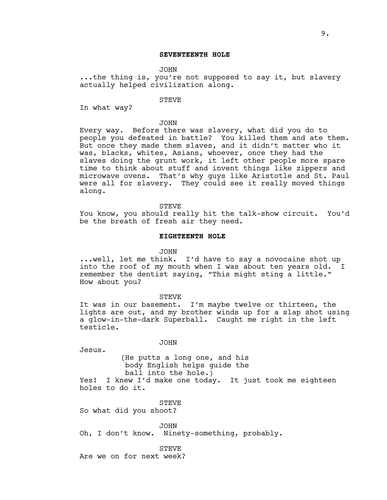JOHN

...the thing is, you're not supposed to say it, but slavery actually helped civilization along.

#### STEVE

In what way?

#### JOHN

Every way. Before there was slavery, what did you do to people you defeated in battle? You killed them and ate them. But once they made them slaves, and it didn't matter who it was, blacks, whites, Asians, whoever, once they had the slaves doing the grunt work, it left other people more spare time to think about stuff and invent things like zippers and microwave ovens. That's why guys like Aristotle and St. Paul were all for slavery. They could see it really moved things along.

STEVE

You know, you should really hit the talk-show circuit. You'd be the breath of fresh air they need.

### **EIGHTEENTH HOLE**

JOHN<br>...well, let me think. I'd have to say a novocaine shot up into the roof of my mouth when I was about ten years old. I remember the dentist saying, "This might sting a little." How about you?

**STEVE** 

It was in our basement. I'm maybe twelve or thirteen, the lights are out, and my brother winds up for a slap shot using a glow-in-the-dark Superball. Caught me right in the left testicle.

JOHN

Jesus.

(He putts a long one, and his body English helps guide the ball into the hole.)

Yes! I knew I'd make one today. It just took me eighteen holes to do it.

STEVE

So what did you shoot?

JOHN Oh, I don't know. Ninety-something, probably.

**STEVE** 

Are we on for next week?